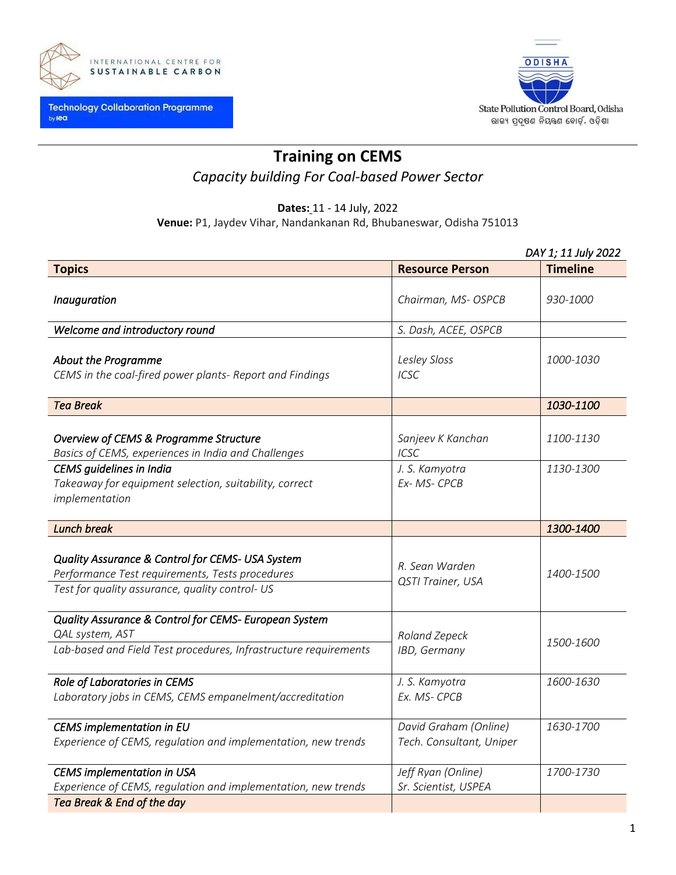



# **Training on CEMS**

# *Capacity building For Coal-based Power Sector*

## **Dates:** 11 - 14 July, 2022

**Venue:** P1, Jaydev Vihar, Nandankanan Rd, Bhubaneswar, Odisha 751013

|                                                                                                                                                        | DAY 1; 11 July 2022                                |                        |  |
|--------------------------------------------------------------------------------------------------------------------------------------------------------|----------------------------------------------------|------------------------|--|
| <b>Topics</b>                                                                                                                                          | <b>Resource Person</b>                             | <b>Timeline</b>        |  |
| Inauguration                                                                                                                                           | Chairman, MS- OSPCB                                | 930-1000               |  |
| Welcome and introductory round                                                                                                                         | S. Dash, ACEE, OSPCB                               |                        |  |
| <b>About the Programme</b><br>CEMS in the coal-fired power plants- Report and Findings                                                                 | Lesley Sloss<br><b>ICSC</b>                        | 1000-1030              |  |
| <b>Tea Break</b>                                                                                                                                       |                                                    | 1030-1100              |  |
| Overview of CEMS & Programme Structure<br>Basics of CEMS, experiences in India and Challenges<br>CEMS guidelines in India                              | Sanjeev K Kanchan<br><b>ICSC</b><br>J. S. Kamyotra | 1100-1130<br>1130-1300 |  |
| Takeaway for equipment selection, suitability, correct<br>implementation                                                                               | Ex-MS-CPCB                                         |                        |  |
| <b>Lunch break</b>                                                                                                                                     |                                                    | 1300-1400              |  |
| Quality Assurance & Control for CEMS- USA System<br>Performance Test requirements, Tests procedures<br>Test for quality assurance, quality control- US | R. Sean Warden<br>QSTI Trainer, USA                | 1400-1500              |  |
| Quality Assurance & Control for CEMS- European System<br>QAL system, AST<br>Lab-based and Field Test procedures, Infrastructure requirements           | Roland Zepeck<br>IBD, Germany                      | 1500-1600              |  |
| Role of Laboratories in CEMS<br>Laboratory jobs in CEMS, CEMS empanelment/accreditation                                                                | J. S. Kamyotra<br>Ex. MS- CPCB                     | 1600-1630              |  |
| CEMS implementation in EU<br>Experience of CEMS, regulation and implementation, new trends                                                             | David Graham (Online)<br>Tech. Consultant, Uniper  | 1630-1700              |  |
| <b>CEMS</b> implementation in USA<br>Experience of CEMS, regulation and implementation, new trends<br>Tea Break & End of the day                       | Jeff Ryan (Online)<br>Sr. Scientist, USPEA         | 1700-1730              |  |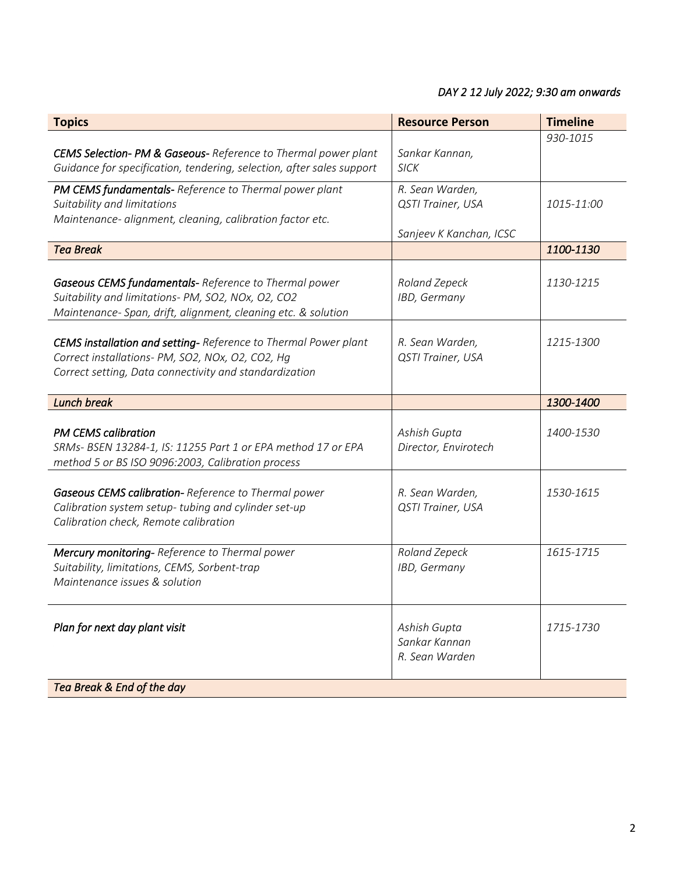## *DAY 2 12 July 2022; 9:30 am onwards*

| <b>Topics</b>                                                                                                                                                                        | <b>Resource Person</b>                                          | <b>Timeline</b> |
|--------------------------------------------------------------------------------------------------------------------------------------------------------------------------------------|-----------------------------------------------------------------|-----------------|
| CEMS Selection- PM & Gaseous- Reference to Thermal power plant<br>Guidance for specification, tendering, selection, after sales support                                              | Sankar Kannan,<br><b>SICK</b>                                   | 930-1015        |
| PM CEMS fundamentals- Reference to Thermal power plant<br>Suitability and limitations<br>Maintenance- alignment, cleaning, calibration factor etc.                                   | R. Sean Warden,<br>QSTI Trainer, USA<br>Sanjeev K Kanchan, ICSC | 1015-11:00      |
| <b>Tea Break</b>                                                                                                                                                                     |                                                                 | 1100-1130       |
| Gaseous CEMS fundamentals- Reference to Thermal power<br>Suitability and limitations- PM, SO2, NOx, O2, CO2<br>Maintenance- Span, drift, alignment, cleaning etc. & solution         | Roland Zepeck<br>IBD, Germany                                   | 1130-1215       |
| <b>CEMS installation and setting-</b> Reference to Thermal Power plant<br>Correct installations- PM, SO2, NOx, O2, CO2, Hg<br>Correct setting, Data connectivity and standardization | R. Sean Warden,<br>QSTI Trainer, USA                            | 1215-1300       |
| <b>Lunch break</b>                                                                                                                                                                   |                                                                 | 1300-1400       |
| <b>PM CEMS calibration</b><br>SRMs- BSEN 13284-1, IS: 11255 Part 1 or EPA method 17 or EPA<br>method 5 or BS ISO 9096:2003, Calibration process                                      | Ashish Gupta<br>Director, Envirotech                            | 1400-1530       |
| Gaseous CEMS calibration-Reference to Thermal power<br>Calibration system setup- tubing and cylinder set-up<br>Calibration check, Remote calibration                                 | R. Sean Warden,<br>QSTI Trainer, USA                            | 1530-1615       |
| Mercury monitoring- Reference to Thermal power<br>Suitability, limitations, CEMS, Sorbent-trap<br>Maintenance issues & solution                                                      | Roland Zepeck<br>IBD, Germany                                   | 1615-1715       |
| Plan for next day plant visit                                                                                                                                                        | Ashish Gupta<br>Sankar Kannan<br>R. Sean Warden                 | 1715-1730       |
| Tea Break & End of the day                                                                                                                                                           |                                                                 |                 |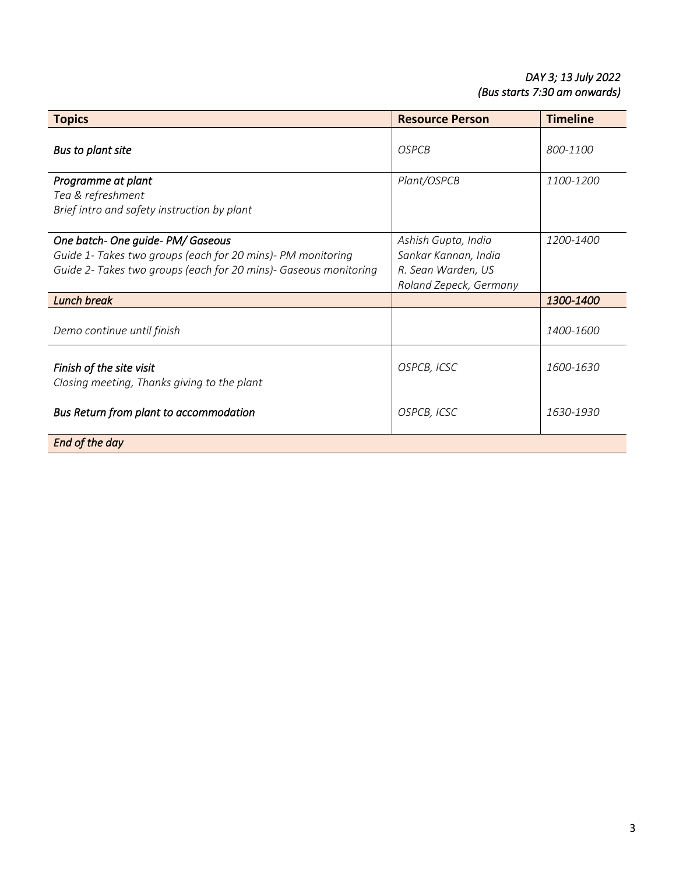## *DAY 3; 13 July 2022 (Bus starts 7:30 am onwards)*

| <b>Topics</b>                                                                                                                                                        | <b>Resource Person</b>                                                                      | <b>Timeline</b>  |
|----------------------------------------------------------------------------------------------------------------------------------------------------------------------|---------------------------------------------------------------------------------------------|------------------|
| Bus to plant site                                                                                                                                                    | <b>OSPCB</b>                                                                                | 800-1100         |
| Programme at plant<br>Tea & refreshment<br>Brief intro and safety instruction by plant                                                                               | Plant/OSPCB                                                                                 | 1100-1200        |
| One batch- One guide- PM/ Gaseous<br>Guide 1- Takes two groups (each for 20 mins)- PM monitoring<br>Guide 2- Takes two groups (each for 20 mins)- Gaseous monitoring | Ashish Gupta, India<br>Sankar Kannan, India<br>R. Sean Warden, US<br>Roland Zepeck, Germany | 1200-1400        |
| <b>Lunch break</b>                                                                                                                                                   |                                                                                             | 1300-1400        |
| Demo continue until finish                                                                                                                                           |                                                                                             | <i>1400-1600</i> |
| Finish of the site visit<br>Closing meeting, Thanks giving to the plant                                                                                              | OSPCB, ICSC                                                                                 | 1600-1630        |
| Bus Return from plant to accommodation                                                                                                                               | OSPCB, ICSC                                                                                 | 1630-1930        |
| End of the day                                                                                                                                                       |                                                                                             |                  |